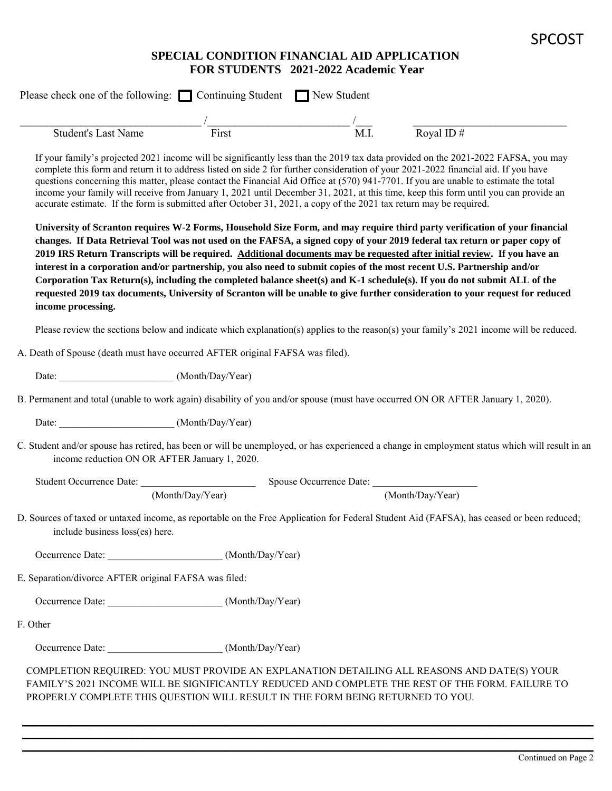## SPCOST

## **SPECIAL CONDITION FINANCIAL AID APPLICATION FOR STUDENTS 2021-2022 Academic Year**

|                                                                                                                    |                  | $\frac{1}{\text{M.I.}}$ |                                                                                                                                                                                                                                                                                                                                                                                                                                                                                                                                                                                                                                                                                                                                                                             |
|--------------------------------------------------------------------------------------------------------------------|------------------|-------------------------|-----------------------------------------------------------------------------------------------------------------------------------------------------------------------------------------------------------------------------------------------------------------------------------------------------------------------------------------------------------------------------------------------------------------------------------------------------------------------------------------------------------------------------------------------------------------------------------------------------------------------------------------------------------------------------------------------------------------------------------------------------------------------------|
| <b>Student's Last Name</b>                                                                                         | First            |                         | Royal ID $#$                                                                                                                                                                                                                                                                                                                                                                                                                                                                                                                                                                                                                                                                                                                                                                |
| accurate estimate. If the form is submitted after October 31, 2021, a copy of the 2021 tax return may be required. |                  |                         | If your family's projected 2021 income will be significantly less than the 2019 tax data provided on the 2021-2022 FAFSA, you may<br>complete this form and return it to address listed on side 2 for further consideration of your 2021-2022 financial aid. If you have<br>questions concerning this matter, please contact the Financial Aid Office at (570) 941-7701. If you are unable to estimate the total<br>income your family will receive from January 1, 2021 until December 31, 2021, at this time, keep this form until you can provide an                                                                                                                                                                                                                     |
| income processing.                                                                                                 |                  |                         | University of Scranton requires W-2 Forms, Household Size Form, and may require third party verification of your financial<br>changes. If Data Retrieval Tool was not used on the FAFSA, a signed copy of your 2019 federal tax return or paper copy of<br>2019 IRS Return Transcripts will be required. Additional documents may be requested after initial review. If you have an<br>interest in a corporation and/or partnership, you also need to submit copies of the most recent U.S. Partnership and/or<br>Corporation Tax Return(s), including the completed balance sheet(s) and K-1 schedule(s). If you do not submit ALL of the<br>requested 2019 tax documents, University of Scranton will be unable to give further consideration to your request for reduced |
|                                                                                                                    |                  |                         | Please review the sections below and indicate which explanation(s) applies to the reason(s) your family's 2021 income will be reduced.                                                                                                                                                                                                                                                                                                                                                                                                                                                                                                                                                                                                                                      |
| A. Death of Spouse (death must have occurred AFTER original FAFSA was filed).                                      |                  |                         |                                                                                                                                                                                                                                                                                                                                                                                                                                                                                                                                                                                                                                                                                                                                                                             |
|                                                                                                                    |                  |                         |                                                                                                                                                                                                                                                                                                                                                                                                                                                                                                                                                                                                                                                                                                                                                                             |
|                                                                                                                    |                  |                         | B. Permanent and total (unable to work again) disability of you and/or spouse (must have occurred ON OR AFTER January 1, 2020).                                                                                                                                                                                                                                                                                                                                                                                                                                                                                                                                                                                                                                             |
| Date: (Month/Day/Year)                                                                                             |                  |                         |                                                                                                                                                                                                                                                                                                                                                                                                                                                                                                                                                                                                                                                                                                                                                                             |
| income reduction ON OR AFTER January 1, 2020.                                                                      |                  |                         | C. Student and/or spouse has retired, has been or will be unemployed, or has experienced a change in employment status which will result in an                                                                                                                                                                                                                                                                                                                                                                                                                                                                                                                                                                                                                              |
| Student Occurrence Date:                                                                                           |                  | Spouse Occurrence Date: |                                                                                                                                                                                                                                                                                                                                                                                                                                                                                                                                                                                                                                                                                                                                                                             |
|                                                                                                                    | (Month/Day/Year) |                         | (Month/Day/Year)                                                                                                                                                                                                                                                                                                                                                                                                                                                                                                                                                                                                                                                                                                                                                            |
| include business loss(es) here.                                                                                    |                  |                         | D. Sources of taxed or untaxed income, as reportable on the Free Application for Federal Student Aid (FAFSA), has ceased or been reduced;                                                                                                                                                                                                                                                                                                                                                                                                                                                                                                                                                                                                                                   |
|                                                                                                                    |                  |                         |                                                                                                                                                                                                                                                                                                                                                                                                                                                                                                                                                                                                                                                                                                                                                                             |
| E. Separation/divorce AFTER original FAFSA was filed:                                                              |                  |                         |                                                                                                                                                                                                                                                                                                                                                                                                                                                                                                                                                                                                                                                                                                                                                                             |
| Occurrence Date: ______________________________(Month/Day/Year)                                                    |                  |                         |                                                                                                                                                                                                                                                                                                                                                                                                                                                                                                                                                                                                                                                                                                                                                                             |
| F. Other                                                                                                           |                  |                         |                                                                                                                                                                                                                                                                                                                                                                                                                                                                                                                                                                                                                                                                                                                                                                             |
|                                                                                                                    |                  |                         |                                                                                                                                                                                                                                                                                                                                                                                                                                                                                                                                                                                                                                                                                                                                                                             |
|                                                                                                                    |                  |                         | COMPLETION REQUIRED: YOU MUST PROVIDE AN EXPLANATION DETAILING ALL REASONS AND DATE(S) YOUR<br>FAMILY'S 2021 INCOME WILL BE SIGNIFICANTLY REDUCED AND COMPLETE THE REST OF THE FORM. FAILURE TO                                                                                                                                                                                                                                                                                                                                                                                                                                                                                                                                                                             |

\_\_\_\_\_\_\_\_\_\_\_\_\_\_\_\_\_\_\_\_\_\_\_\_\_\_\_\_\_\_\_\_\_\_\_\_\_\_\_\_\_\_\_\_\_\_\_\_\_\_\_\_\_\_\_\_\_\_\_\_\_\_\_\_\_\_\_\_\_\_\_\_\_\_\_\_\_\_\_\_\_\_\_\_\_\_\_\_\_\_\_\_\_\_\_\_\_\_\_\_\_\_\_\_ \_\_\_\_\_\_\_\_\_\_\_\_\_\_\_\_\_\_\_\_\_\_\_\_\_\_\_\_\_\_\_\_\_\_\_\_\_\_\_\_\_\_\_\_\_\_\_\_\_\_\_\_\_\_\_\_\_\_\_\_\_\_\_\_\_\_\_\_\_\_\_\_\_\_\_\_\_\_\_\_\_\_\_\_\_\_\_\_\_\_\_\_\_\_\_\_\_\_\_\_\_\_\_\_